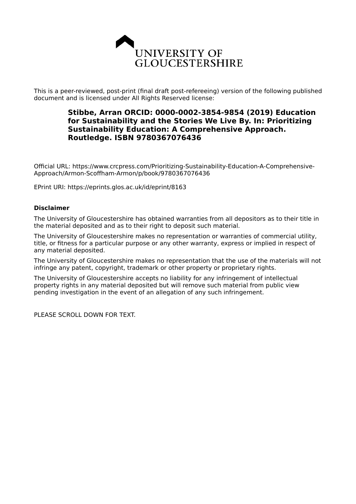

This is a peer-reviewed, post-print (final draft post-refereeing) version of the following published document and is licensed under All Rights Reserved license:

# **Stibbe, Arran ORCID: 0000-0002-3854-9854 (2019) Education for Sustainability and the Stories We Live By. In: Prioritizing Sustainability Education: A Comprehensive Approach. Routledge. ISBN 9780367076436**

Official URL: https://www.crcpress.com/Prioritizing-Sustainability-Education-A-Comprehensive-Approach/Armon-Scoffham-Armon/p/book/9780367076436

EPrint URI: https://eprints.glos.ac.uk/id/eprint/8163

#### **Disclaimer**

The University of Gloucestershire has obtained warranties from all depositors as to their title in the material deposited and as to their right to deposit such material.

The University of Gloucestershire makes no representation or warranties of commercial utility, title, or fitness for a particular purpose or any other warranty, express or implied in respect of any material deposited.

The University of Gloucestershire makes no representation that the use of the materials will not infringe any patent, copyright, trademark or other property or proprietary rights.

The University of Gloucestershire accepts no liability for any infringement of intellectual property rights in any material deposited but will remove such material from public view pending investigation in the event of an allegation of any such infringement.

PLEASE SCROLL DOWN FOR TEXT.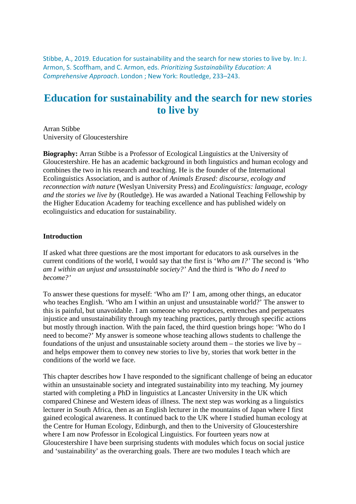Stibbe, A., 2019. Education for sustainability and the search for new stories to live by. In: J. Armon, S. Scoffham, and C. Armon, eds. *Prioritizing Sustainability Education: A Comprehensive Approach*. London ; New York: Routledge, 233–243.

# **Education for sustainability and the search for new stories to live by**

Arran Stibbe University of Gloucestershire

**Biography:** Arran Stibbe is a Professor of Ecological Linguistics at the University of Gloucestershire. He has an academic background in both linguistics and human ecology and combines the two in his research and teaching. He is the founder of the International Ecolinguistics Association, and is author of *Animals Erased: discourse, ecology and reconnection with nature* (Weslyan University Press) and *Ecolinguistics: language, ecology and the stories we live by* (Routledge). He was awarded a National Teaching Fellowship by the Higher Education Academy for teaching excellence and has published widely on ecolinguistics and education for sustainability.

### **Introduction**

If asked what three questions are the most important for educators to ask ourselves in the current conditions of the world, I would say that the first is '*Who am I?'* The second is *'Who am I within an unjust and unsustainable society?'* And the third is *'Who do I need to become?'*

To answer these questions for myself: 'Who am I?' I am, among other things, an educator who teaches English. 'Who am I within an unjust and unsustainable world?' The answer to this is painful, but unavoidable. I am someone who reproduces, entrenches and perpetuates injustice and unsustainability through my teaching practices, partly through specific actions but mostly through inaction. With the pain faced, the third question brings hope: 'Who do I need to become?' My answer is someone whose teaching allows students to challenge the foundations of the unjust and unsustainable society around them – the stories we live by – and helps empower them to convey new stories to live by, stories that work better in the conditions of the world we face.

This chapter describes how I have responded to the significant challenge of being an educator within an unsustainable society and integrated sustainability into my teaching. My journey started with completing a PhD in linguistics at Lancaster University in the UK which compared Chinese and Western ideas of illness. The next step was working as a linguistics lecturer in South Africa, then as an English lecturer in the mountains of Japan where I first gained ecological awareness. It continued back to the UK where I studied human ecology at the Centre for Human Ecology, Edinburgh, and then to the University of Gloucestershire where I am now Professor in Ecological Linguistics. For fourteen years now at Gloucestershire I have been surprising students with modules which focus on social justice and 'sustainability' as the overarching goals. There are two modules I teach which are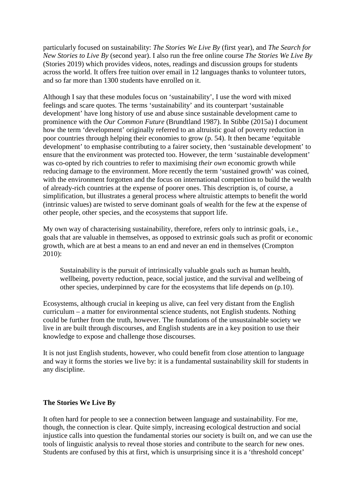particularly focused on sustainability: *The Stories We Live By* (first year), and *The Search for New Stories to Live By* (second year). I also run the free online course *The Stories We Live By* (Stories 2019) which provides videos, notes, readings and discussion groups for students across the world. It offers free tuition over email in 12 languages thanks to volunteer tutors, and so far more than 1300 students have enrolled on it.

Although I say that these modules focus on 'sustainability', I use the word with mixed feelings and scare quotes. The terms 'sustainability' and its counterpart 'sustainable development' have long history of use and abuse since sustainable development came to prominence with the *Our Common Future* (Brundtland 1987). In Stibbe (2015a) I document how the term 'development' originally referred to an altruistic goal of poverty reduction in poor countries through helping their economies to grow (p. 54). It then became 'equitable development' to emphasise contributing to a fairer society, then 'sustainable development' to ensure that the environment was protected too. However, the term 'sustainable development' was co-opted by rich countries to refer to maximising *their own* economic growth while reducing damage to the environment. More recently the term 'sustained growth' was coined, with the environment forgotten and the focus on international competition to build the wealth of already-rich countries at the expense of poorer ones. This description is, of course, a simplification, but illustrates a general process where altruistic attempts to benefit the world (intrinsic values) are twisted to serve dominant goals of wealth for the few at the expense of other people, other species, and the ecosystems that support life.

My own way of characterising sustainability, therefore, refers only to intrinsic goals, i.e., goals that are valuable in themselves, as opposed to extrinsic goals such as profit or economic growth, which are at best a means to an end and never an end in themselves (Crompton 2010):

Sustainability is the pursuit of intrinsically valuable goals such as human health, wellbeing, poverty reduction, peace, social justice, and the survival and wellbeing of other species, underpinned by care for the ecosystems that life depends on (p.10).

Ecosystems, although crucial in keeping us alive, can feel very distant from the English curriculum – a matter for environmental science students, not English students. Nothing could be further from the truth, however. The foundations of the unsustainable society we live in are built through discourses, and English students are in a key position to use their knowledge to expose and challenge those discourses.

It is not just English students, however, who could benefit from close attention to language and way it forms the stories we live by: it is a fundamental sustainability skill for students in any discipline.

# **The Stories We Live By**

It often hard for people to see a connection between language and sustainability. For me, though, the connection is clear. Quite simply, increasing ecological destruction and social injustice calls into question the fundamental stories our society is built on, and we can use the tools of linguistic analysis to reveal those stories and contribute to the search for new ones. Students are confused by this at first, which is unsurprising since it is a 'threshold concept'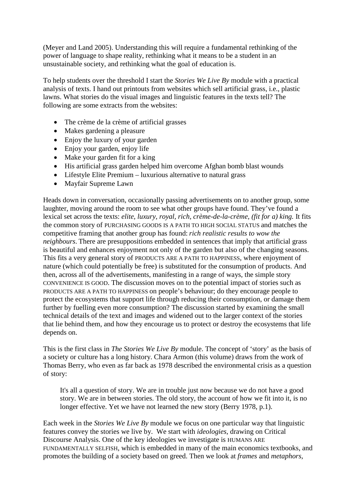(Meyer and Land 2005). Understanding this will require a fundamental rethinking of the power of language to shape reality, rethinking what it means to be a student in an unsustainable society, and rethinking what the goal of education is.

To help students over the threshold I start the *Stories We Live By* module with a practical analysis of texts. I hand out printouts from websites which sell artificial grass, i.e., plastic lawns. What stories do the visual images and linguistic features in the texts tell? The following are some extracts from the websites:

- The crème de la crème of artificial grasses
- Makes gardening a pleasure
- Enjoy the luxury of your garden
- Enjoy your garden, enjoy life
- Make your garden fit for a king
- His artificial grass garden helped him overcome Afghan bomb blast wounds
- Lifestyle Elite Premium luxurious alternative to natural grass
- Mayfair Supreme Lawn

Heads down in conversation, occasionally passing advertisements on to another group, some laughter, moving around the room to see what other groups have found. They've found a lexical set across the texts: *elite, luxury, royal, rich, crème-de-la-crème, (fit for a) king.* It fits the common story of PURCHASING GOODS IS A PATH TO HIGH SOCIAL STATUS and matches the competitive framing that another group has found: *rich realistic results to wow the neighbours*. There are presuppositions embedded in sentences that imply that artificial grass is beautiful and enhances enjoyment not only of the garden but also of the changing seasons. This fits a very general story of PRODUCTS ARE A PATH TO HAPPINESS, where enjoyment of nature (which could potentially be free) is substituted for the consumption of products. And then, across all of the advertisements, manifesting in a range of ways, the simple story CONVENIENCE IS GOOD. The discussion moves on to the potential impact of stories such as PRODUCTS ARE A PATH TO HAPPINESS on people's behaviour; do they encourage people to protect the ecosystems that support life through reducing their consumption, or damage them further by fuelling even more consumption? The discussion started by examining the small technical details of the text and images and widened out to the larger context of the stories that lie behind them, and how they encourage us to protect or destroy the ecosystems that life depends on.

This is the first class in *The Stories We Live By* module. The concept of 'story' as the basis of a society or culture has a long history. Chara Armon (this volume) draws from the work of Thomas Berry, who even as far back as 1978 described the environmental crisis as a question of story:

It's all a question of story. We are in trouble just now because we do not have a good story. We are in between stories. The old story, the account of how we fit into it, is no longer effective. Yet we have not learned the new story (Berry 1978, p.1).

Each week in the *Stories We Live By* module we focus on one particular way that linguistic features convey the stories we live by. We start with *ideologies*, drawing on Critical Discourse Analysis. One of the key ideologies we investigate is HUMANS ARE FUNDAMENTALLY SELFISH, which is embedded in many of the main economics textbooks, and promotes the building of a society based on greed. Then we look at *frames* and *metaphors,*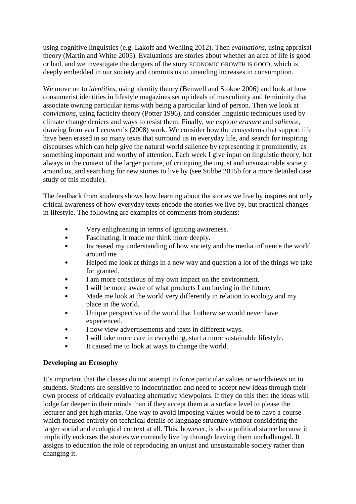using cognitive linguistics (e.g. Lakoff and Wehling 2012). Then *evaluations,* using appraisal theory (Martin and White 2005). Evaluations are stories about whether an area of life is good or bad, and we investigate the dangers of the story ECONOMIC GROWTH IS GOOD, which is deeply embedded in our society and commits us to unending increases in consumption.

We move on to *identities*, using identity theory (Benwell and Stokoe 2006) and look at how consumerist identities in lifestyle magazines set up ideals of masculinity and femininity that associate owning particular items with being a particular kind of person. Then we look at *convictions*, using facticity theory (Potter 1996), and consider linguistic techniques used by climate change deniers and ways to resist them. Finally, we explore *erasure* and *salience*, drawing from van Leeuwen's (2008) work. We consider how the ecosystems that support life have been erased in so many texts that surround us in everyday life, and search for inspiring discourses which can help give the natural world salience by representing it prominently, as something important and worthy of attention. Each week I give input on linguistic theory, but always in the context of the larger picture, of critiquing the unjust and unsustainable society around us, and searching for new stories to live by (see Stibbe 2015b for a more detailed case study of this module).

The feedback from students shows how learning about the stories we live by inspires not only critical awareness of how everyday texts encode the stories we live by, but practical changes in lifestyle. The following are examples of comments from students:

- Very enlightening in terms of igniting awareness.
- Fascinating, it made me think more deeply.
- Increased my understanding of how society and the media influence the world around me
- Helped me look at things in a new way and question a lot of the things we take for granted.
- I am more conscious of my own impact on the environment.
- I will be more aware of what products I am buying in the future,
- Made me look at the world very differently in relation to ecology and my place in the world.
- Unique perspective of the world that I otherwise would never have experienced.
- I now view advertisements and texts in different ways.
- I will take more care in everything, start a more sustainable lifestyle.
- It caused me to look at ways to change the world.

#### **Developing an Ecosophy**

It's important that the classes do not attempt to force particular values or worldviews on to students. Students are sensitive to indoctrination and need to accept new ideas through their own process of critically evaluating alternative viewpoints. If they do this then the ideas will lodge far deeper in their minds than if they accept them at a surface level to please the lecturer and get high marks. One way to avoid imposing values would be to have a course which focused entirely on technical details of language structure without considering the larger social and ecological context at all. This, however, is also a political stance because it implicitly endorses the stories we currently live by through leaving them unchallenged. It assigns to education the role of reproducing an unjust and unsustainable society rather than changing it.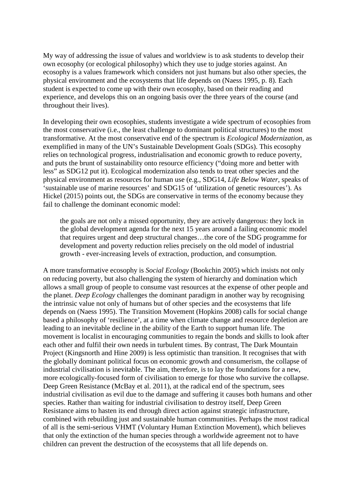My way of addressing the issue of values and worldview is to ask students to develop their own ecosophy (or ecological philosophy) which they use to judge stories against. An ecosophy is a values framework which considers not just humans but also other species, the physical environment and the ecosystems that life depends on (Naess 1995, p. 8). Each student is expected to come up with their own ecosophy, based on their reading and experience, and develops this on an ongoing basis over the three years of the course (and throughout their lives).

In developing their own ecosophies, students investigate a wide spectrum of ecosophies from the most conservative (i.e., the least challenge to dominant political structures) to the most transformative. At the most conservative end of the spectrum is *Ecological Modernization,* as exemplified in many of the UN's Sustainable Development Goals (SDGs). This ecosophy relies on technological progress, industrialisation and economic growth to reduce poverty, and puts the brunt of sustainability onto resource efficiency ("doing more and better with less" as SDG12 put it). Ecological modernization also tends to treat other species and the physical environment as resources for human use (e.g., SDG14, *Life Below Water*, speaks of 'sustainable use of marine resources' and SDG15 of 'utilization of genetic resources'). As Hickel (2015) points out, the SDGs are conservative in terms of the economy because they fail to challenge the dominant economic model:

the goals are not only a missed opportunity, they are actively dangerous: they lock in the global development agenda for the next 15 years around a failing economic model that requires urgent and deep structural changes…the core of the SDG programme for development and poverty reduction relies precisely on the old model of industrial growth - ever-increasing levels of extraction, production, and consumption.

A more transformative ecosophy is *Social Ecology* (Bookchin 2005) which insists not only on reducing poverty, but also challenging the system of hierarchy and domination which allows a small group of people to consume vast resources at the expense of other people and the planet. *Deep Ecology* challenges the dominant paradigm in another way by recognising the intrinsic value not only of humans but of other species and the ecosystems that life depends on (Naess 1995). The Transition Movement (Hopkins 2008) calls for social change based a philosophy of 'resilience', at a time when climate change and resource depletion are leading to an inevitable decline in the ability of the Earth to support human life. The movement is localist in encouraging communities to regain the bonds and skills to look after each other and fulfil their own needs in turbulent times. By contrast, The Dark Mountain Project (Kingsnorth and Hine 2009) is less optimistic than transition. It recognises that with the globally dominant political focus on economic growth and consumerism, the collapse of industrial civilisation is inevitable. The aim, therefore, is to lay the foundations for a new, more ecologically-focused form of civilisation to emerge for those who survive the collapse. Deep Green Resistance (McBay et al. 2011), at the radical end of the spectrum, sees industrial civilisation as evil due to the damage and suffering it causes both humans and other species. Rather than waiting for industrial civilisation to destroy itself, Deep Green Resistance aims to hasten its end through direct action against strategic infrastructure, combined with rebuilding just and sustainable human communities. Perhaps the most radical of all is the semi-serious VHMT (Voluntary Human Extinction Movement), which believes that only the extinction of the human species through a worldwide agreement not to have children can prevent the destruction of the ecosystems that all life depends on.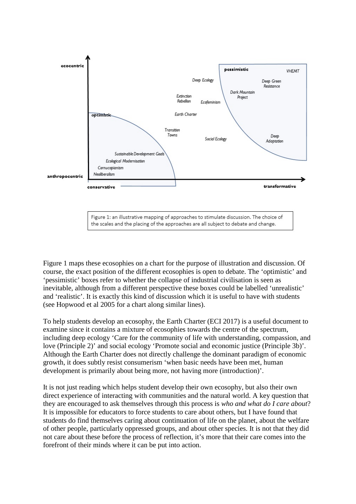

Figure 1 maps these ecosophies on a chart for the purpose of illustration and discussion. Of course, the exact position of the different ecosophies is open to debate. The 'optimistic' and 'pessimistic' boxes refer to whether the collapse of industrial civilisation is seen as inevitable, although from a different perspective these boxes could be labelled 'unrealistic' and 'realistic'. It is exactly this kind of discussion which it is useful to have with students (see Hopwood et al 2005 for a chart along similar lines).

To help students develop an ecosophy, the Earth Charter (ECI 2017) is a useful document to examine since it contains a mixture of ecosophies towards the centre of the spectrum, including deep ecology 'Care for the community of life with understanding, compassion, and love (Principle 2)' and social ecology 'Promote social and economic justice (Principle 3b)'. Although the Earth Charter does not directly challenge the dominant paradigm of economic growth, it does subtly resist consumerism 'when basic needs have been met, human development is primarily about being more, not having more (introduction)'.

It is not just reading which helps student develop their own ecosophy, but also their own direct experience of interacting with communities and the natural world. A key question that they are encouraged to ask themselves through this process is *who and what do I care about*? It is impossible for educators to force students to care about others, but I have found that students do find themselves caring about continuation of life on the planet, about the welfare of other people, particularly oppressed groups, and about other species. It is not that they did not care about these before the process of reflection, it's more that their care comes into the forefront of their minds where it can be put into action.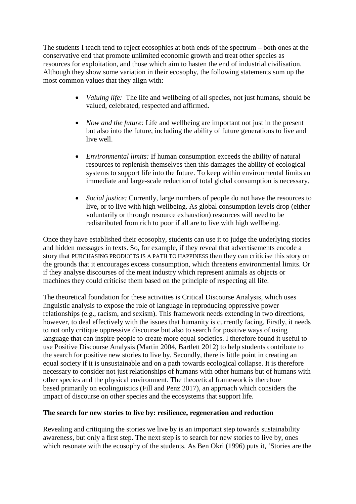The students I teach tend to reject ecosophies at both ends of the spectrum – both ones at the conservative end that promote unlimited economic growth and treat other species as resources for exploitation, and those which aim to hasten the end of industrial civilisation. Although they show some variation in their ecosophy, the following statements sum up the most common values that they align with:

- *Valuing life:* The life and wellbeing of all species, not just humans, should be valued, celebrated, respected and affirmed.
- *Now and the future:* Life and wellbeing are important not just in the present but also into the future, including the ability of future generations to live and live well.
- *Environmental limits:* If human consumption exceeds the ability of natural resources to replenish themselves then this damages the ability of ecological systems to support life into the future. To keep within environmental limits an immediate and large-scale reduction of total global consumption is necessary.
- *Social justice:* Currently, large numbers of people do not have the resources to live, or to live with high wellbeing. As global consumption levels drop (either voluntarily or through resource exhaustion) resources will need to be redistributed from rich to poor if all are to live with high wellbeing.

Once they have established their ecosophy, students can use it to judge the underlying stories and hidden messages in texts. So, for example, if they reveal that advertisements encode a story that PURCHASING PRODUCTS IS A PATH TO HAPPINESS then they can criticise this story on the grounds that it encourages excess consumption, which threatens environmental limits. Or if they analyse discourses of the meat industry which represent animals as objects or machines they could criticise them based on the principle of respecting all life.

The theoretical foundation for these activities is Critical Discourse Analysis, which uses linguistic analysis to expose the role of language in reproducing oppressive power relationships (e.g., racism, and sexism). This framework needs extending in two directions, however, to deal effectively with the issues that humanity is currently facing. Firstly, it needs to not only critique oppressive discourse but also to search for positive ways of using language that can inspire people to create more equal societies. I therefore found it useful to use Positive Discourse Analysis (Martin 2004, Bartlett 2012) to help students contribute to the search for positive new stories to live by. Secondly, there is little point in creating an equal society if it is unsustainable and on a path towards ecological collapse. It is therefore necessary to consider not just relationships of humans with other humans but of humans with other species and the physical environment. The theoretical framework is therefore based primarily on ecolinguistics (Fill and Penz 2017), an approach which considers the impact of discourse on other species and the ecosystems that support life.

# **The search for new stories to live by: resilience, regeneration and reduction**

Revealing and critiquing the stories we live by is an important step towards sustainability awareness, but only a first step. The next step is to search for new stories to live by, ones which resonate with the ecosophy of the students. As Ben Okri (1996) puts it, 'Stories are the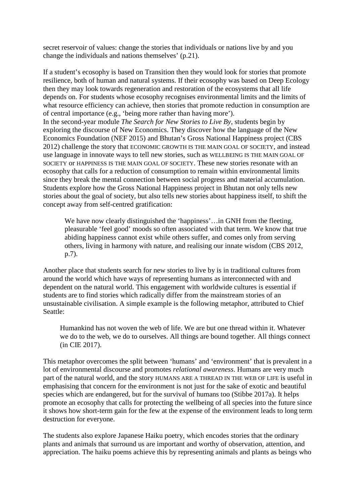secret reservoir of values: change the stories that individuals or nations live by and you change the individuals and nations themselves' (p.21).

If a student's ecosophy is based on Transition then they would look for stories that promote resilience, both of human and natural systems. If their ecosophy was based on Deep Ecology then they may look towards regeneration and restoration of the ecosystems that all life depends on. For students whose ecosophy recognises environmental limits and the limits of what resource efficiency can achieve, then stories that promote reduction in consumption are of central importance (e.g., 'being more rather than having more'). In the second-year module *The Search for New Stories to Live By*, students begin by exploring the discourse of New Economics. They discover how the language of the New Economics Foundation (NEF 2015) and Bhutan's Gross National Happiness project (CBS 2012) challenge the story that ECONOMIC GROWTH IS THE MAIN GOAL OF SOCIETY, and instead use language in innovate ways to tell new stories, such as WELLBEING IS THE MAIN GOAL OF SOCIETY or HAPPINESS IS THE MAIN GOAL OF SOCIETY. These new stories resonate with an ecosophy that calls for a reduction of consumption to remain within environmental limits

since they break the mental connection between social progress and material accumulation. Students explore how the Gross National Happiness project in Bhutan not only tells new stories about the goal of society, but also tells new stories about happiness itself, to shift the concept away from self-centred gratification:

We have now clearly distinguished the 'happiness'... in GNH from the fleeting, pleasurable 'feel good' moods so often associated with that term. We know that true abiding happiness cannot exist while others suffer, and comes only from serving others, living in harmony with nature, and realising our innate wisdom (CBS 2012, p.7).

Another place that students search for new stories to live by is in traditional cultures from around the world which have ways of representing humans as interconnected with and dependent on the natural world. This engagement with worldwide cultures is essential if students are to find stories which radically differ from the mainstream stories of an unsustainable civilisation. A simple example is the following metaphor, attributed to Chief Seattle:

Humankind has not woven the web of life. We are but one thread within it. Whatever we do to the web, we do to ourselves. All things are bound together. All things connect (in CIE 2017).

This metaphor overcomes the split between 'humans' and 'environment' that is prevalent in a lot of environmental discourse and promotes *relational awareness*. Humans are very much part of the natural world, and the story HUMANS ARE A THREAD IN THE WEB OF LIFE is useful in emphasising that concern for the environment is not just for the sake of exotic and beautiful species which are endangered, but for the survival of humans too (Stibbe 2017a). It helps promote an ecosophy that calls for protecting the wellbeing of all species into the future since it shows how short-term gain for the few at the expense of the environment leads to long term destruction for everyone.

The students also explore Japanese Haiku poetry, which encodes stories that the ordinary plants and animals that surround us are important and worthy of observation, attention, and appreciation. The haiku poems achieve this by representing animals and plants as beings who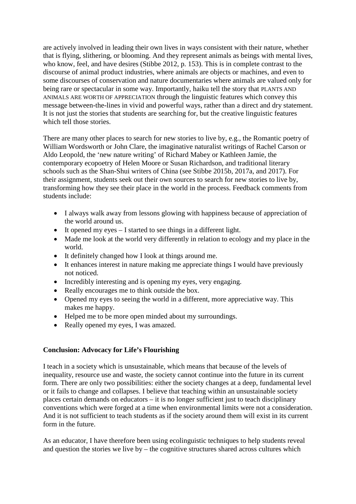are actively involved in leading their own lives in ways consistent with their nature, whether that is flying, slithering, or blooming. And they represent animals as beings with mental lives, who know, feel, and have desires (Stibbe 2012, p. 153). This is in complete contrast to the discourse of animal product industries, where animals are objects or machines, and even to some discourses of conservation and nature documentaries where animals are valued only for being rare or spectacular in some way. Importantly, haiku tell the story that PLANTS AND ANIMALS ARE WORTH OF APPRECIATION through the linguistic features which convey this message between-the-lines in vivid and powerful ways, rather than a direct and dry statement. It is not just the stories that students are searching for, but the creative linguistic features which tell those stories.

There are many other places to search for new stories to live by, e.g., the Romantic poetry of William Wordsworth or John Clare, the imaginative naturalist writings of Rachel Carson or Aldo Leopold, the 'new nature writing' of Richard Mabey or Kathleen Jamie, the contemporary ecopoetry of Helen Moore or Susan Richardson, and traditional literary schools such as the Shan-Shui writers of China (see Stibbe 2015b, 2017a, and 2017). For their assignment, students seek out their own sources to search for new stories to live by, transforming how they see their place in the world in the process. Feedback comments from students include:

- I always walk away from lessons glowing with happiness because of appreciation of the world around us.
- It opened my eyes I started to see things in a different light.
- Made me look at the world very differently in relation to ecology and my place in the world.
- It definitely changed how I look at things around me.
- It enhances interest in nature making me appreciate things I would have previously not noticed.
- Incredibly interesting and is opening my eyes, very engaging.
- Really encourages me to think outside the box.
- Opened my eyes to seeing the world in a different, more appreciative way. This makes me happy.
- Helped me to be more open minded about my surroundings.
- Really opened my eyes, I was amazed.

# **Conclusion: Advocacy for Life's Flourishing**

I teach in a society which is unsustainable, which means that because of the levels of inequality, resource use and waste, the society cannot continue into the future in its current form. There are only two possibilities: either the society changes at a deep, fundamental level or it fails to change and collapses. I believe that teaching within an unsustainable society places certain demands on educators – it is no longer sufficient just to teach disciplinary conventions which were forged at a time when environmental limits were not a consideration. And it is not sufficient to teach students as if the society around them will exist in its current form in the future.

As an educator, I have therefore been using ecolinguistic techniques to help students reveal and question the stories we live by – the cognitive structures shared across cultures which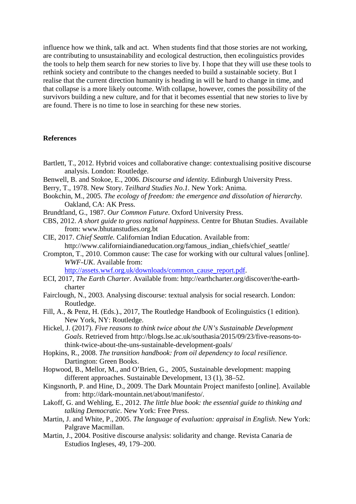influence how we think, talk and act. When students find that those stories are not working, are contributing to unsustainability and ecological destruction, then ecolinguistics provides the tools to help them search for new stories to live by. I hope that they will use these tools to rethink society and contribute to the changes needed to build a sustainable society. But I realise that the current direction humanity is heading in will be hard to change in time, and that collapse is a more likely outcome. With collapse, however, comes the possibility of the survivors building a new culture, and for that it becomes essential that new stories to live by are found. There is no time to lose in searching for these new stories.

#### **References**

- Bartlett, T., 2012. Hybrid voices and collaborative change: contextualising positive discourse analysis. London: Routledge.
- Benwell, B. and Stokoe, E., 2006. *Discourse and identity*. Edinburgh University Press.
- Berry, T., 1978. New Story. *Teilhard Studies No.1.* New York: Anima.
- Bookchin, M., 2005. *The ecology of freedom: the emergence and dissolution of hierarchy.* Oakland, CA: AK Press.
- Brundtland, G., 1987. *Our Common Future*. Oxford University Press.
- CBS, 2012. *A short guide to gross national happiness*. Centre for Bhutan Studies. Available from: www.bhutanstudies.org.bt
- CIE, 2017. *Chief Seattle.* Californian Indian Education. Available from: http://www.californiaindianeducation.org/famous\_indian\_chiefs/chief\_seattle/
- Crompton, T., 2010. Common cause: The case for working with our cultural values [online]. *WWF-UK*. Available from:

[http://assets.wwf.org.uk/downloads/common\\_cause\\_report.pdf.](http://assets.wwf.org.uk/downloads/common_cause_report.pdf)

- ECI, 2017, *The Earth Charter*. Available from: http://earthcharter.org/discover/the-earthcharter
- Fairclough, N., 2003. Analysing discourse: textual analysis for social research. London: Routledge.
- Fill, A., & Penz, H. (Eds.)., 2017, The Routledge Handbook of Ecolinguistics (1 edition). New York, NY: Routledge.
- Hickel, J. (2017). *Five reasons to think twice about the UN's Sustainable Development Goals*. Retrieved from http://blogs.lse.ac.uk/southasia/2015/09/23/five-reasons-tothink-twice-about-the-uns-sustainable-development-goals/
- Hopkins, R., 2008. *The transition handbook: from oil dependency to local resilience.* Dartington: Green Books.
- Hopwood, B., Mellor, M., and O'Brien, G., 2005, Sustainable development: mapping different approaches. Sustainable Development, 13 (1), 38–52.
- Kingsnorth, P. and Hine, D., 2009. The Dark Mountain Project manifesto [online]. Available from: http://dark-mountain.net/about/manifesto/.
- Lakoff, G. and Wehling, E., 2012. *The little blue book: the essential guide to thinking and talking Democratic*. New York: Free Press.
- Martin, J. and White, P., 2005. *The language of evaluation: appraisal in English*. New York: Palgrave Macmillan.
- Martin, J., 2004. Positive discourse analysis: solidarity and change. Revista Canaria de Estudios Ingleses, 49, 179–200.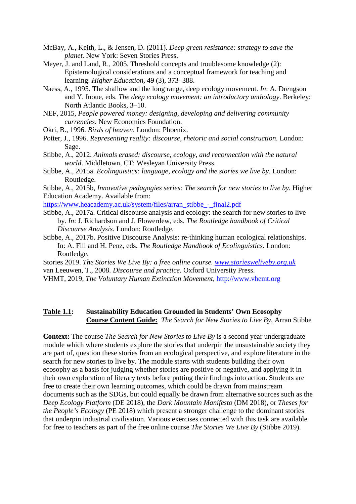- McBay, A., Keith, L., & Jensen, D. (2011). *Deep green resistance: strategy to save the planet.* New York: Seven Stories Press.
- Meyer, J. and Land, R., 2005. Threshold concepts and troublesome knowledge (2): Epistemological considerations and a conceptual framework for teaching and learning. *Higher Education*, 49 (3), 373–388.
- Naess, A., 1995. The shallow and the long range, deep ecology movement. *In*: A. Drengson and Y. Inoue, eds. *The deep ecology movement: an introductory anthology*. Berkeley: North Atlantic Books, 3–10.
- NEF, 2015, *People powered money: designing, developing and delivering community currencies.* New Economics Foundation.
- Okri, B., 1996. *Birds of heaven*. London: Phoenix.
- Potter, J., 1996. *Representing reality: discourse, rhetoric and social construction*. London: Sage.
- Stibbe, A., 2012. *Animals erased: discourse, ecology, and reconnection with the natural world*. Middletown, CT: Wesleyan University Press.
- Stibbe, A., 2015a. *Ecolinguistics: language, ecology and the stories we live by*. London: Routledge.

Stibbe, A., 2015b, *Innovative pedagogies series: The search for new stories to live by.* Higher Education Academy. Available from:

[https://www.heacademy.ac.uk/system/files/arran\\_stibbe\\_-\\_final2.pdf](https://www.heacademy.ac.uk/system/files/arran_stibbe_-_final2.pdf)

- Stibbe, A., 2017a. Critical discourse analysis and ecology: the search for new stories to live by. *In*: J. Richardson and J. Flowerdew, eds. *The Routledge handbook of Critical Discourse Analysis*. London: Routledge.
- Stibbe, A., 2017b. Positive Discourse Analysis: re-thinking human ecological relationships. In: A. Fill and H. Penz, eds. *The Routledge Handbook of Ecolinguistics*. London: Routledge.
- Stories 2019. *The Stories We Live By: a free online course. [www.storiesweliveby.org.uk](http://www.storiesweliveby.org.uk/)*
- van Leeuwen, T., 2008. *Discourse and practice.* Oxford University Press.
- VHMT, 2019, *The Voluntary Human Extinction Movement*, [http://www.vhemt.org](http://www.vhemt.org/)

#### **Table 1.1: Sustainability Education Grounded in Students' Own Ecosophy Course Content Guide:** *The Search for New Stories to Live By*, Arran Stibbe

**Context:** The course *The Search for New Stories to Live By* is a second year undergraduate module which where students explore the stories that underpin the unsustainable society they are part of, question these stories from an ecological perspective, and explore literature in the search for new stories to live by. The module starts with students building their own ecosophy as a basis for judging whether stories are positive or negative, and applying it in their own exploration of literary texts before putting their findings into action. Students are free to create their own learning outcomes, which could be drawn from mainstream documents such as the SDGs, but could equally be drawn from alternative sources such as the *Deep Ecology Platform* (DE 2018), the *Dark Mountain Manifesto* (DM 2018), or *Theses for the People's Ecology* (PE 2018) which present a stronger challenge to the dominant stories that underpin industrial civilisation. Various exercises connected with this task are available for free to teachers as part of the free online course *The Stories We Live By* (Stibbe 2019).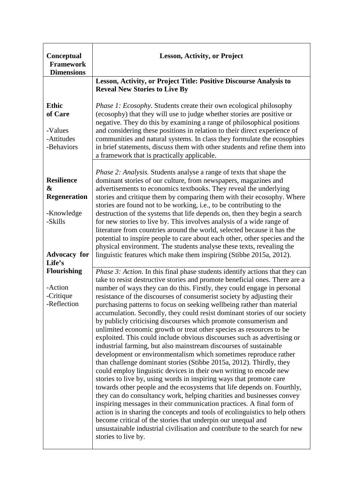| Conceptual<br><b>Framework</b><br><b>Dimensions</b>                                                     | <b>Lesson, Activity, or Project</b>                                                                                                                                                                                                                                                                                                                                                                                                                                                                                                                                                                                                                                                                                                                                                                                                                                                                                                                                                                                                                                                                                                                                                                                                                                                                                                                                                                                                                                                                                                         |
|---------------------------------------------------------------------------------------------------------|---------------------------------------------------------------------------------------------------------------------------------------------------------------------------------------------------------------------------------------------------------------------------------------------------------------------------------------------------------------------------------------------------------------------------------------------------------------------------------------------------------------------------------------------------------------------------------------------------------------------------------------------------------------------------------------------------------------------------------------------------------------------------------------------------------------------------------------------------------------------------------------------------------------------------------------------------------------------------------------------------------------------------------------------------------------------------------------------------------------------------------------------------------------------------------------------------------------------------------------------------------------------------------------------------------------------------------------------------------------------------------------------------------------------------------------------------------------------------------------------------------------------------------------------|
|                                                                                                         | Lesson, Activity, or Project Title: Positive Discourse Analysis to<br><b>Reveal New Stories to Live By</b>                                                                                                                                                                                                                                                                                                                                                                                                                                                                                                                                                                                                                                                                                                                                                                                                                                                                                                                                                                                                                                                                                                                                                                                                                                                                                                                                                                                                                                  |
| <b>Ethic</b><br>of Care<br>-Values<br>-Attitudes<br>-Behaviors                                          | <i>Phase 1: Ecosophy.</i> Students create their own ecological philosophy<br>(ecosophy) that they will use to judge whether stories are positive or<br>negative. They do this by examining a range of philosophical positions<br>and considering these positions in relation to their direct experience of<br>communities and natural systems. In class they formulate the ecosophies<br>in brief statements, discuss them with other students and refine them into<br>a framework that is practically applicable.                                                                                                                                                                                                                                                                                                                                                                                                                                                                                                                                                                                                                                                                                                                                                                                                                                                                                                                                                                                                                          |
| <b>Resilience</b><br>&<br><b>Regeneration</b><br>-Knowledge<br>-Skills<br><b>Advocacy</b> for<br>Life's | Phase 2: Analysis. Students analyse a range of texts that shape the<br>dominant stories of our culture, from newspapers, magazines and<br>advertisements to economics textbooks. They reveal the underlying<br>stories and critique them by comparing them with their ecosophy. Where<br>stories are found not to be working, i.e., to be contributing to the<br>destruction of the systems that life depends on, then they begin a search<br>for new stories to live by. This involves analysis of a wide range of<br>literature from countries around the world, selected because it has the<br>potential to inspire people to care about each other, other species and the<br>physical environment. The students analyse these texts, revealing the<br>linguistic features which make them inspiring (Stibbe 2015a, 2012).                                                                                                                                                                                                                                                                                                                                                                                                                                                                                                                                                                                                                                                                                                               |
| <b>Flourishing</b><br>-Action<br>-Critique<br>-Reflection                                               | Phase 3: Action. In this final phase students identify actions that they can<br>take to resist destructive stories and promote beneficial ones. There are a<br>number of ways they can do this. Firstly, they could engage in personal<br>resistance of the discourses of consumerist society by adjusting their<br>purchasing patterns to focus on seeking wellbeing rather than material<br>accumulation. Secondly, they could resist dominant stories of our society<br>by publicly criticising discourses which promote consumerism and<br>unlimited economic growth or treat other species as resources to be<br>exploited. This could include obvious discourses such as advertising or<br>industrial farming, but also mainstream discourses of sustainable<br>development or environmentalism which sometimes reproduce rather<br>than challenge dominant stories (Stibbe 2015a, 2012). Thirdly, they<br>could employ linguistic devices in their own writing to encode new<br>stories to live by, using words in inspiring ways that promote care<br>towards other people and the ecosystems that life depends on. Fourthly,<br>they can do consultancy work, helping charities and businesses convey<br>inspiring messages in their communication practices. A final form of<br>action is in sharing the concepts and tools of ecolinguistics to help others<br>become critical of the stories that underpin our unequal and<br>unsustainable industrial civilisation and contribute to the search for new<br>stories to live by. |